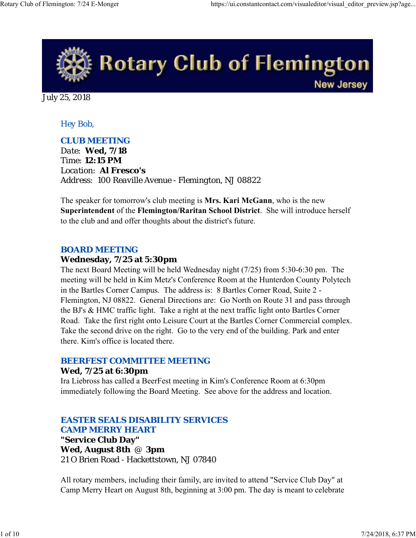

July 25, 2018

## *Hey Bob,*

## *CLUB MEETING*

*Date: Wed, 7/18 Time: 12:15 PM Location: Al Fresco's Address: 100 Reaville Avenue - Flemington, NJ 08822*

The speaker for tomorrow's club meeting is **Mrs. Kari McGann**, who is the new **Superintendent** of the **Flemington/Raritan School District**. She will introduce herself to the club and and offer thoughts about the district's future.

### *BOARD MEETING*

### **Wednesday, 7/25 at 5:30pm**

The next Board Meeting will be held Wednesday night (7/25) from 5:30-6:30 pm. The meeting will be held in Kim Metz's Conference Room at the Hunterdon County Polytech in the Bartles Corner Campus. The address is: 8 Bartles Corner Road, Suite 2 - Flemington, NJ 08822. General Directions are: Go North on Route 31 and pass through the BJ's & HMC traffic light. Take a right at the next traffic light onto Bartles Corner Road. Take the first right onto Leisure Court at the Bartles Corner Commercial complex. Take the second drive on the right. Go to the very end of the building. Park and enter there. Kim's office is located there.

## *BEERFEST COMMITTEE MEETING*

## **Wed, 7/25 at 6:30pm**

Ira Liebross has called a BeerFest meeting in Kim's Conference Room at 6:30pm immediately following the Board Meeting. See above for the address and location.

# *EASTER SEALS DISABILITY SERVICES CAMP MERRY HEART*

**"Service Club Day" Wed, August 8th** @ **3pm** 21 O Brien Road - Hackettstown, NJ 07840

All rotary members, including their family, are invited to attend "Service Club Day" at Camp Merry Heart on August 8th, beginning at 3:00 pm. The day is meant to celebrate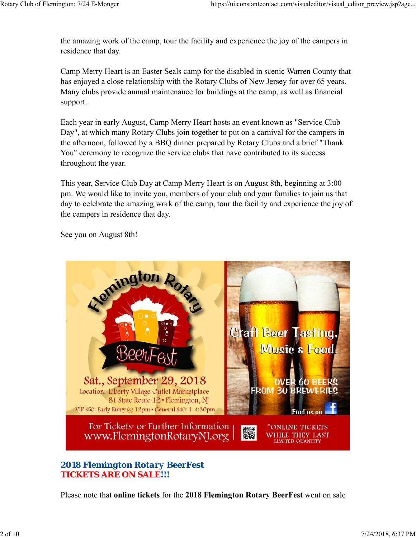the amazing work of the camp, tour the facility and experience the joy of the campers in residence that day.

Camp Merry Heart is an Easter Seals camp for the disabled in scenic Warren County that has enjoyed a close relationship with the Rotary Clubs of New Jersey for over 65 years. Many clubs provide annual maintenance for buildings at the camp, as well as financial support.

Each year in early August, Camp Merry Heart hosts an event known as "Service Club Day", at which many Rotary Clubs join together to put on a carnival for the campers in the afternoon, followed by a BBQ dinner prepared by Rotary Clubs and a brief "Thank You" ceremony to recognize the service clubs that have contributed to its success throughout the year.

This year, Service Club Day at Camp Merry Heart is on August 8th, beginning at 3:00 pm. We would like to invite you, members of your club and your families to join us that day to celebrate the amazing work of the camp, tour the facility and experience the joy of the campers in residence that day.

See you on August 8th!



# *2018 Flemington Rotary BeerFest TICKETS ARE ON SALE!!!*

Please note that **online tickets** for the **2018 Flemington Rotary BeerFest** went on sale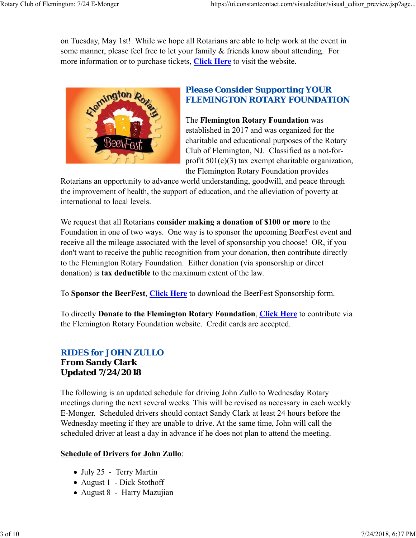on Tuesday, May 1st! While we hope all Rotarians are able to help work at the event in some manner, please feel free to let your family & friends know about attending. For more information or to purchase tickets, **Click Here** to visit the website.



# *Please Consider Supporting YOUR FLEMINGTON ROTARY FOUNDATION*

The **Flemington Rotary Foundation** was established in 2017 and was organized for the charitable and educational purposes of the Rotary Club of Flemington, NJ. Classified as a not-forprofit  $501(c)(3)$  tax exempt charitable organization, the Flemington Rotary Foundation provides

Rotarians an opportunity to advance world understanding, goodwill, and peace through the improvement of health, the support of education, and the alleviation of poverty at international to local levels.

We request that all Rotarians **consider making a donation of \$100 or more** to the Foundation in one of two ways. One way is to sponsor the upcoming BeerFest event and receive all the mileage associated with the level of sponsorship you choose! OR, if you don't want to receive the public recognition from your donation, then contribute directly to the Flemington Rotary Foundation. Either donation (via sponsorship or direct donation) is **tax deductible** to the maximum extent of the law.

To **Sponsor the BeerFest**, **Click Here** to download the BeerFest Sponsorship form.

To directly **Donate to the Flemington Rotary Foundation**, **Click Here** to contribute via the Flemington Rotary Foundation website. Credit cards are accepted.

## *RIDES for JOHN ZULLO* **From Sandy Clark Updated 7/24/2018**

The following is an updated schedule for driving John Zullo to Wednesday Rotary meetings during the next several weeks. This will be revised as necessary in each weekly E-Monger. Scheduled drivers should contact Sandy Clark at least 24 hours before the Wednesday meeting if they are unable to drive. At the same time, John will call the scheduled driver at least a day in advance if he does not plan to attend the meeting.

## **Schedule of Drivers for John Zullo**:

- July 25 Terry Martin
- August 1 Dick Stothoff
- August 8 Harry Mazujian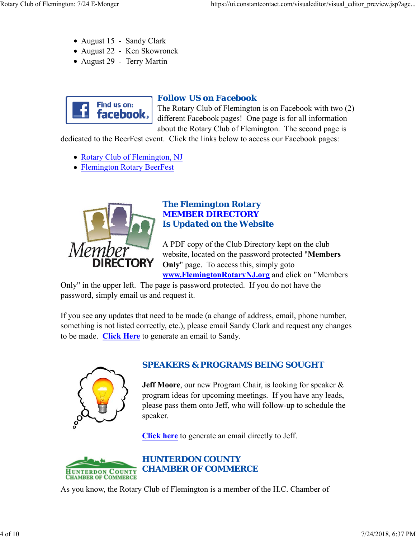- August 15 Sandy Clark
- August 22 Ken Skowronek
- August 29 Terry Martin



# *Follow US on Facebook*

The Rotary Club of Flemington is on Facebook with two (2) different Facebook pages! One page is for all information about the Rotary Club of Flemington. The second page is

dedicated to the BeerFest event. Click the links below to access our Facebook pages:

- Rotary Club of Flemington, NJ
- Flemington Rotary BeerFest



## *The Flemington Rotary MEMBER DIRECTORY Is Updated on the Website*

A PDF copy of the Club Directory kept on the club website, located on the password protected "**Members Only**" page. To access this, simply goto **www.FlemingtonRotaryNJ.org** and click on "Members

Only" in the upper left. The page is password protected. If you do not have the password, simply email us and request it.

If you see any updates that need to be made (a change of address, email, phone number, something is not listed correctly, etc.), please email Sandy Clark and request any changes to be made. **Click Here** to generate an email to Sandy.



# *SPEAKERS & PROGRAMS BEING SOUGHT*

**Jeff Moore**, our new Program Chair, is looking for speaker & program ideas for upcoming meetings. If you have any leads, please pass them onto Jeff, who will follow-up to schedule the speaker.

**Click here** to generate an email directly to Jeff.



As you know, the Rotary Club of Flemington is a member of the H.C. Chamber of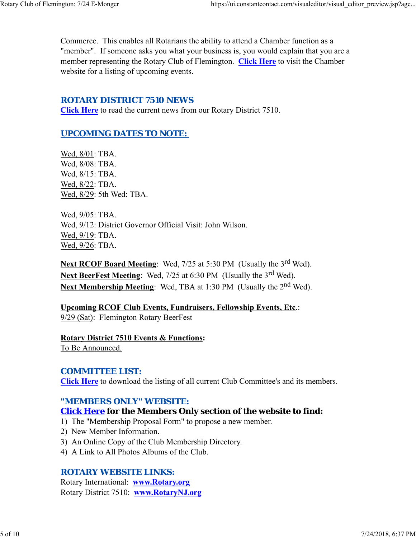Commerce. This enables all Rotarians the ability to attend a Chamber function as a "member". If someone asks you what your business is, you would explain that you are a member representing the Rotary Club of Flemington. **Click Here** to visit the Chamber website for a listing of upcoming events.

## *ROTARY DISTRICT 7510 NEWS*

**Click Here** to read the current news from our Rotary District 7510.

# *UPCOMING DATES TO NOTE:*

Wed, 8/01: TBA. Wed, 8/08: TBA. Wed, 8/15: TBA. Wed, 8/22: TBA. Wed, 8/29: 5th Wed: TBA.

Wed, 9/05: TBA. Wed, 9/12: District Governor Official Visit: John Wilson. Wed, 9/19: TBA. Wed, 9/26: TBA.

Next RCOF Board Meeting: Wed, 7/25 at 5:30 PM (Usually the 3<sup>rd</sup> Wed). Next BeerFest Meeting: Wed, 7/25 at 6:30 PM (Usually the 3<sup>rd</sup> Wed). **Next Membership Meeting:** Wed, TBA at 1:30 PM (Usually the 2<sup>nd</sup> Wed).

**Upcoming RCOF Club Events, Fundraisers, Fellowship Events, Etc**.: 9/29 (Sat): Flemington Rotary BeerFest

**Rotary District 7510 Events & Functions:** To Be Announced.

## *COMMITTEE LIST:*

**Click Here** to download the listing of all current Club Committee's and its members.

# *"MEMBERS ONLY" WEBSITE:*

# **Click Here for the Members Only section of the website to find:**

- 1) The "Membership Proposal Form" to propose a new member.
- 2) New Member Information.
- 3) An Online Copy of the Club Membership Directory.
- 4) A Link to All Photos Albums of the Club.

## *ROTARY WEBSITE LINKS:*

Rotary International: **www.Rotary.org** Rotary District 7510: **www.RotaryNJ.org**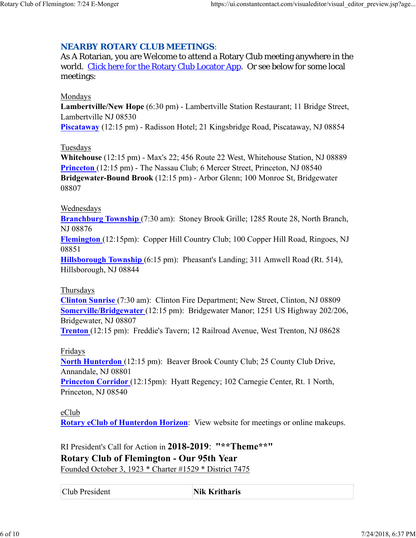# *NEARBY ROTARY CLUB MEETINGS:*

As A Rotarian, you are Welcome to attend a Rotary Club meeting anywhere in the world. Click here for the Rotary Club Locator App. Or see below for some local meetings:

## Mondays

**Lambertville/New Hope** (6:30 pm) - Lambertville Station Restaurant; 11 Bridge Street, Lambertville NJ 08530

**Piscataway** (12:15 pm) - Radisson Hotel; 21 Kingsbridge Road, Piscataway, NJ 08854

## **Tuesdays**

**Whitehouse** (12:15 pm) - Max's 22; 456 Route 22 West, Whitehouse Station, NJ 08889 **Princeton** (12:15 pm) - The Nassau Club; 6 Mercer Street, Princeton, NJ 08540 **Bridgewater-Bound Brook** (12:15 pm) - Arbor Glenn; 100 Monroe St, Bridgewater 08807

## Wednesdays

**Branchburg Township** (7:30 am): Stoney Brook Grille; 1285 Route 28, North Branch, NJ 08876

**Flemington** (12:15pm): Copper Hill Country Club; 100 Copper Hill Road, Ringoes, NJ 08851

**Hillsborough Township** (6:15 pm): Pheasant's Landing; 311 Amwell Road (Rt. 514), Hillsborough, NJ 08844

## **Thursdays**

**Clinton Sunrise** (7:30 am): Clinton Fire Department; New Street, Clinton, NJ 08809 **Somerville/Bridgewater** (12:15 pm): Bridgewater Manor; 1251 US Highway 202/206, Bridgewater, NJ 08807

**Trenton** (12:15 pm): Freddie's Tavern; 12 Railroad Avenue, West Trenton, NJ 08628

## Fridays

**North Hunterdon** (12:15 pm): Beaver Brook County Club; 25 County Club Drive, Annandale, NJ 08801 **Princeton Corridor** (12:15pm): Hyatt Regency; 102 Carnegie Center, Rt. 1 North,

Princeton, NJ 08540

## eClub

**Rotary eClub of Hunterdon Horizon**: View website for meetings or online makeups.

RI President's Call for Action in **2018-2019**: **"\*\*Theme\*\*" Rotary Club of Flemington - Our 95th Year** Founded October 3, 1923 \* Charter #1529 \* District 7475

Club President **Nik Kritharis**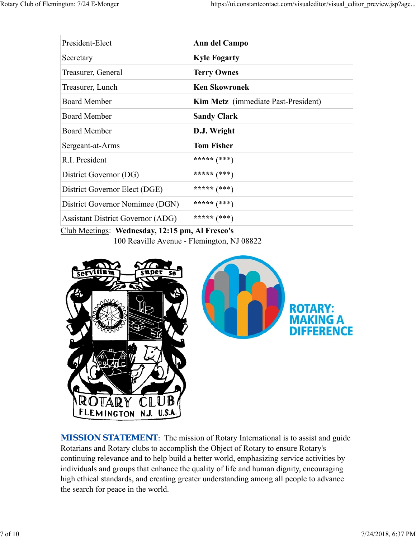| President-Elect                                              | Ann del Campo                       |  |  |
|--------------------------------------------------------------|-------------------------------------|--|--|
| Secretary                                                    | <b>Kyle Fogarty</b>                 |  |  |
| Treasurer, General                                           | <b>Terry Ownes</b>                  |  |  |
| Treasurer, Lunch                                             | <b>Ken Skowronek</b>                |  |  |
| <b>Board Member</b>                                          | Kim Metz (immediate Past-President) |  |  |
| <b>Board Member</b>                                          | <b>Sandy Clark</b>                  |  |  |
| <b>Board Member</b>                                          | D.J. Wright                         |  |  |
| Sergeant-at-Arms                                             | <b>Tom Fisher</b>                   |  |  |
| R.I. President                                               | ***** $(***)$                       |  |  |
| District Governor (DG)                                       | ***** $(***)$                       |  |  |
| District Governor Elect (DGE)                                | ***** $(***)$                       |  |  |
| District Governor Nomimee (DGN)                              | ***** $(***)$                       |  |  |
| <b>Assistant District Governor (ADG)</b>                     | ***** $(***)$                       |  |  |
| $C11M$ $T$ $T$ $T$ $T$ $T$ $T$ $T$ $T$ $T$<br>$\blacksquare$ |                                     |  |  |

Club Meetings: **Wednesday, 12:15 pm, Al Fresco's**

100 Reaville Avenue - Flemington, NJ 08822



*MISSION STATEMENT*: The mission of Rotary International is to assist and guide Rotarians and Rotary clubs to accomplish the Object of Rotary to ensure Rotary's continuing relevance and to help build a better world, emphasizing service activities by individuals and groups that enhance the quality of life and human dignity, encouraging high ethical standards, and creating greater understanding among all people to advance the search for peace in the world.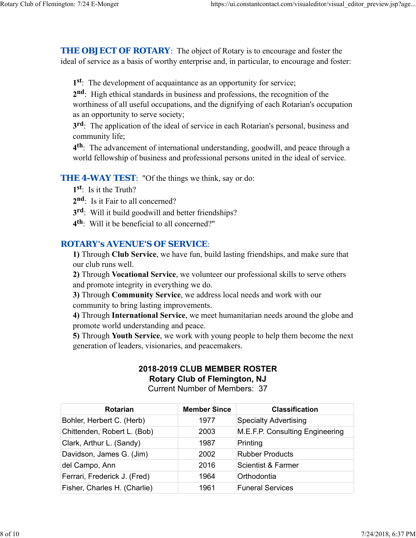**THE OBJECT OF ROTARY:** The object of Rotary is to encourage and foster the ideal of service as a basis of worthy enterprise and, in particular, to encourage and foster:

**1st**: The development of acquaintance as an opportunity for service;

**2nd**: High ethical standards in business and professions, the recognition of the worthiness of all useful occupations, and the dignifying of each Rotarian's occupation as an opportunity to serve society;

**3rd**: The application of the ideal of service in each Rotarian's personal, business and community life;

**4th**: The advancement of international understanding, goodwill, and peace through a world fellowship of business and professional persons united in the ideal of service.

### **THE 4-WAY TEST:** "Of the things we think, say or do:

- **1st**: Is it the Truth?
- 2<sup>nd</sup>: Is it Fair to all concerned?
- **3rd**: Will it build goodwill and better friendships?
- **4th**: Will it be beneficial to all concerned?"

## *ROTARY's AVENUE'S OF SERVICE*:

**1)** Through **Club Service**, we have fun, build lasting friendships, and make sure that our club runs well.

**2)** Through **Vocational Service**, we volunteer our professional skills to serve others and promote integrity in everything we do.

**3)** Through **Community Service**, we address local needs and work with our community to bring lasting improvements.

**4)** Through **International Service**, we meet humanitarian needs around the globe and promote world understanding and peace.

**5)** Through **Youth Service**, we work with young people to help them become the next generation of leaders, visionaries, and peacemakers.

## **2018-2019 CLUB MEMBER ROSTER Rotary Club of Flemington, NJ**

Current Number of Members: 37

| <b>Rotarian</b>              | <b>Member Since</b> | <b>Classification</b>           |
|------------------------------|---------------------|---------------------------------|
| Bohler, Herbert C. (Herb)    | 1977                | <b>Specialty Advertising</b>    |
| Chittenden, Robert L. (Bob)  | 2003                | M.E.F.P. Consulting Engineering |
| Clark, Arthur L. (Sandy)     | 1987                | Printing                        |
| Davidson, James G. (Jim)     | 2002                | <b>Rubber Products</b>          |
| del Campo, Ann               | 2016                | Scientist & Farmer              |
| Ferrari, Frederick J. (Fred) | 1964                | Orthodontia                     |
| Fisher, Charles H. (Charlie) | 1961                | <b>Funeral Services</b>         |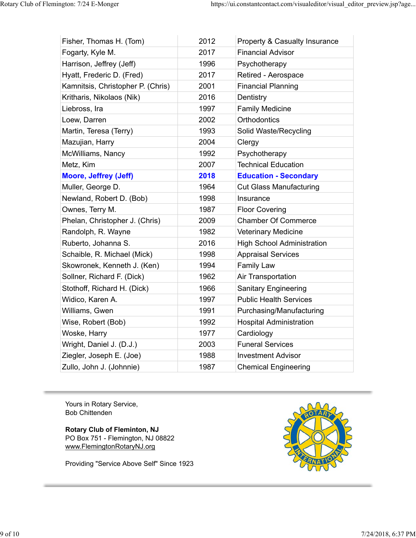$\mathbf{r}$ 

| Fisher, Thomas H. (Tom)           | 2012 | <b>Property &amp; Casualty Insurance</b> |
|-----------------------------------|------|------------------------------------------|
| Fogarty, Kyle M.                  | 2017 | <b>Financial Advisor</b>                 |
| Harrison, Jeffrey (Jeff)          | 1996 | Psychotherapy                            |
| Hyatt, Frederic D. (Fred)         | 2017 | Retired - Aerospace                      |
| Kamnitsis, Christopher P. (Chris) | 2001 | <b>Financial Planning</b>                |
| Kritharis, Nikolaos (Nik)         | 2016 | Dentistry                                |
| Liebross, Ira                     | 1997 | <b>Family Medicine</b>                   |
| Loew, Darren                      | 2002 | Orthodontics                             |
| Martin, Teresa (Terry)            | 1993 | Solid Waste/Recycling                    |
| Mazujian, Harry                   | 2004 | Clergy                                   |
| McWilliams, Nancy                 | 1992 | Psychotherapy                            |
| Metz, Kim                         | 2007 | <b>Technical Education</b>               |
| Moore, Jeffrey (Jeff)             | 2018 | <b>Education - Secondary</b>             |
| Muller, George D.                 | 1964 | <b>Cut Glass Manufacturing</b>           |
| Newland, Robert D. (Bob)          | 1998 | Insurance                                |
| Ownes, Terry M.                   | 1987 | <b>Floor Covering</b>                    |
| Phelan, Christopher J. (Chris)    | 2009 | <b>Chamber Of Commerce</b>               |
| Randolph, R. Wayne                | 1982 | Veterinary Medicine                      |
| Ruberto, Johanna S.               | 2016 | <b>High School Administration</b>        |
| Schaible, R. Michael (Mick)       | 1998 | <b>Appraisal Services</b>                |
| Skowronek, Kenneth J. (Ken)       | 1994 | <b>Family Law</b>                        |
| Sollner, Richard F. (Dick)        | 1962 | Air Transportation                       |
| Stothoff, Richard H. (Dick)       | 1966 | <b>Sanitary Engineering</b>              |
| Widico, Karen A.                  | 1997 | <b>Public Health Services</b>            |
| Williams, Gwen                    | 1991 | Purchasing/Manufacturing                 |
| Wise, Robert (Bob)                | 1992 | <b>Hospital Administration</b>           |
| Woske, Harry                      | 1977 | Cardiology                               |
| Wright, Daniel J. (D.J.)          | 2003 | <b>Funeral Services</b>                  |
| Ziegler, Joseph E. (Joe)          | 1988 | <b>Investment Advisor</b>                |
| Zullo, John J. (Johnnie)          | 1987 | <b>Chemical Engineering</b>              |
|                                   |      |                                          |

Yours in Rotary Service, Bob Chittenden

**Rotary Club of Fleminton, NJ** PO Box 751 - Flemington, NJ 08822 www.FlemingtonRotaryNJ.org

Providing "Service Above Self" Since 1923